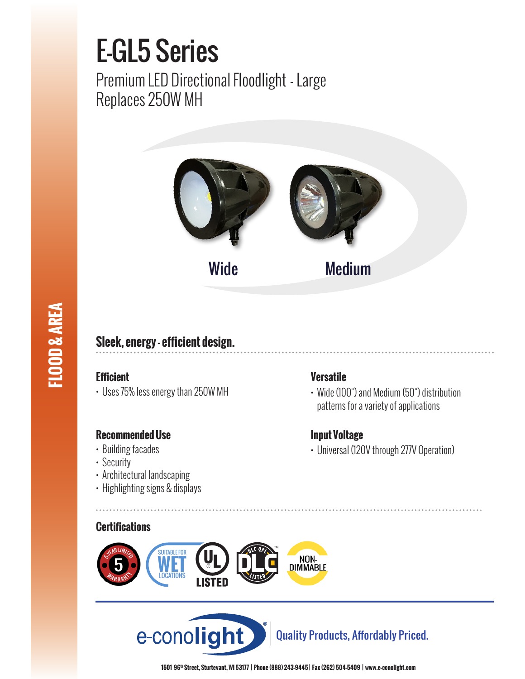# E-GL5 Series

Premium LED Directional Floodlight - Large Replaces 250W MH





# **Sleek, energy - efficient design.**

# **Efficient**

**FLOOD & AREA**

**FLOOD & AREA** 

• Uses 75% less energy than 250W MH

# **Recommended Use**

- Building facades
- Security
- Architectural landscaping
- Highlighting signs & displays

## **Certifications**





Quality Products, Affordably Priced.

Wide Medium

## **Versatile**

• Wide (100°) and Medium (50°) distribution patterns for a variety of applications

# **Input Voltage**

• Universal (120V through 277V Operation)

**1501 96th Street, Sturtevant, WI 53177 | Phone (888) 243-9445 | Fax (262) 504-5409 | www.e–conolight.com**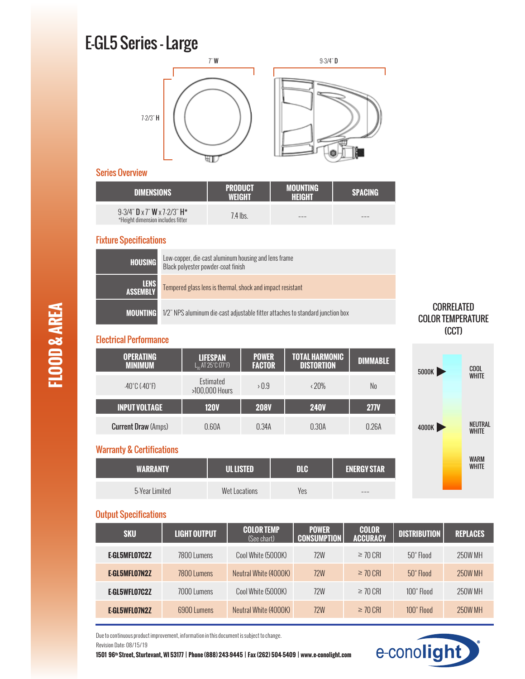# E-GL5 Series - Large



#### Series Overview

| <b>DIMENSIONS</b>                                                                         | <b>PRODUCT</b><br>WEIGHT | <b>MOUNTING</b><br><b>HEIGHT</b> | <b>SPACING</b> |
|-------------------------------------------------------------------------------------------|--------------------------|----------------------------------|----------------|
| $9-3/4$ " <b>D</b> x 7" <b>W</b> x 7-2/3" <b>H</b> *<br>*Height dimension includes fitter | 7.4 lbs.                 | ---                              | ---            |

#### Fixture Specifications

| <b>HOUSING</b>          | Low-copper, die-cast aluminum housing and lens frame<br>Black polyester powder-coat finish     |
|-------------------------|------------------------------------------------------------------------------------------------|
| <b>LENS</b><br>ASSEMBLY | Tempered glass lens is thermal, shock and impact resistant                                     |
|                         | <b>MOUNTING</b> 1/2" NPS aluminum die-cast adjustable fitter attaches to standard junction box |

#### Electrical Performance

| <b>OPERATING</b><br><b>MINIMUM</b> | <b>LIFESPAN</b><br>$L_n$ AT 25°C $(77°F)$ | <b>POWER</b><br><b>FACTOR</b> | TOTAL HARMONIC<br><b>DISTORTION</b> | <b>DIMMABLE</b> |
|------------------------------------|-------------------------------------------|-------------------------------|-------------------------------------|-----------------|
| $-40^{\circ}$ C $(-40^{\circ}$ F)  | Estimated<br>>100,000 Hours               | > 0.9                         | $\langle 20\%$                      | No              |
| <b>INPUT VOLTAGE</b>               | <b>120V</b>                               | <b>208V</b>                   | <b>240V</b>                         | <b>277V</b>     |
| <b>Current Draw (Amps)</b>         | 0.60A                                     | 0.34A                         | 0.30A                               | 0.26A           |

## Warranty & Certifications

| <b>WARRANTY</b> | <b>LUL LISTED</b> | nle | <b>ENERGY STAR</b> |
|-----------------|-------------------|-----|--------------------|
| 5-Year Limited  | Wet Locations     | Yes | ---                |





#### Output Specifications

| <b>SKU</b>    | <b>LIGHT OUTPUT</b> | <b>COLOR TEMP</b><br>(See chart) | <b>POWER</b><br><b>CONSUMPTION</b> | <b>COLOR</b><br><b>ACCURACY</b> | <b>DISTRIBUTION</b> | <b>REPLACES</b> |
|---------------|---------------------|----------------------------------|------------------------------------|---------------------------------|---------------------|-----------------|
| E-GL5MFL07C2Z | 7800 Lumens         | Cool White (5000K)               | 72W                                | $\geq$ 70 CRI                   | $50^\circ$ Flood    | 250W MH         |
| E-GL5MFL07N2Z | 7800 Lumens         | Neutral White (4000K)            | <b>72W</b>                         | $\geq$ 70 CRI                   | $50^\circ$ Flood    | <b>250W MH</b>  |
| E-GL5WFL07C2Z | 7000 Lumens         | Cool White (5000K)               | 72W                                | $\geq$ 70 CRI                   | 100° Flood          | 250W MH         |
| E GL5WFL07N2Z | 6900 Lumens         | Neutral White (4000K)            | <b>72W</b>                         | $\geq$ 70 CRI                   | 100° Flood          | 250W MH         |

e-conolight

Due to continuous product improvement, information in this document is subject to change. Revision Date: 08/15/19

**1501 96th Street, Sturtevant, WI 53177 | Phone (888) 243-9445 | Fax (262) 504-5409 | www.e–conolight.com**